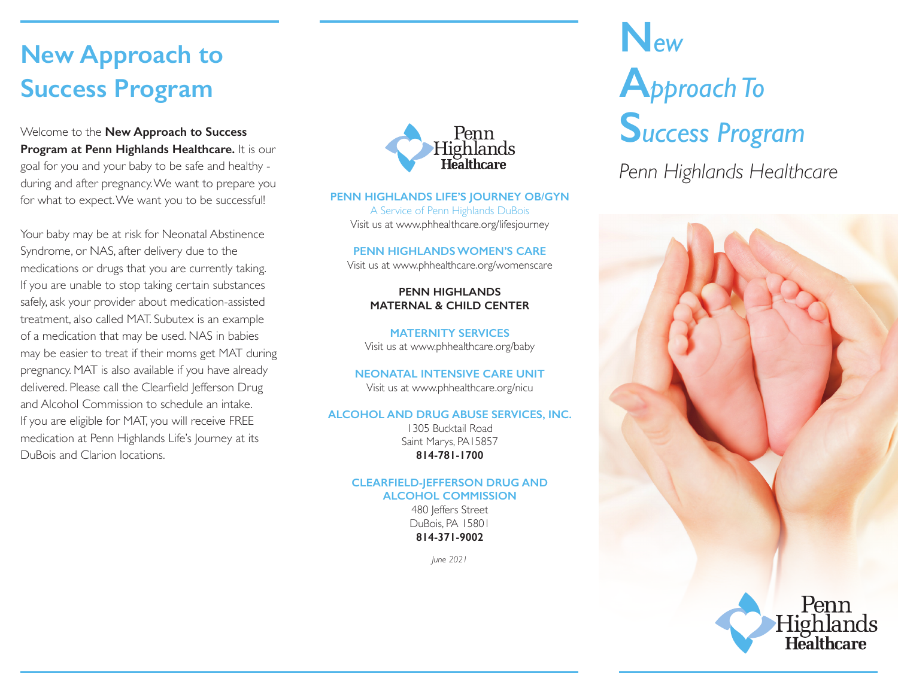## **New Approach to Success Program**

Welcome to the **New Approach to Success Program at Penn Highlands Healthcare.** It is our goal for you and your baby to be safe and healthy during and after pregnancy. We want to prepare you for what to expect. We want you to be successful!

Your baby may be at risk for Neonatal Abstinence Syndrome, or NAS, after delivery due to the medications or drugs that you are currently taking. If you are unable to stop taking certain substances safely, ask your provider about medication-assisted treatment, also called MAT. Subutex is an example of a medication that may be used. NAS in babies may be easier to treat if their moms get MAT during pregnancy. MAT is also available if you have already delivered. Please call the Clearfield Jefferson Drug and Alcohol Commission to schedule an intake. If you are eligible for MAT, you will receive FREE medication at Penn Highlands Life's Journey at its DuBois and Clarion locations.



#### **PENN HIGHLANDS LIFE'S JOURNEY OB/GYN**

A Service of Penn Highlands DuBois Visit us at www.phhealthcare.org/lifesjourney

**PENN HIGHLANDS WOMEN'S CARE**

Visit us at www.phhealthcare.org/womenscare

**PENN HIGHLANDS MATERNAL & CHILD CENTER**

**MATERNITY SERVICES** Visit us at www.phhealthcare.org/baby

**NEONATAL INTENSIVE CARE UNIT**

Visit us at www.phhealthcare.org/nicu

#### **ALCOHOL AND DRUG ABUSE SERVICES, INC.**

1305 Bucktail Road Saint Marys, PA15857 **814-781-1700**

#### **CLEARFIELD-JEFFERSON DRUG AND ALCOHOL COMMISSION**

480 leffers Street DuBois, PA 15801 **814-371-9002**

*June 2021*

# **N***ew* **A***pproach To* **S***uccess Program*

*Penn Highlands Healthcare*